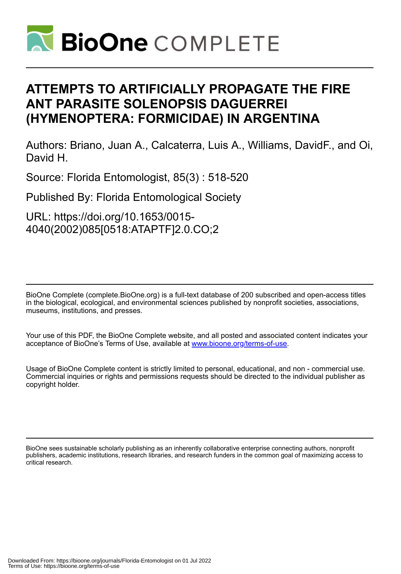

## **ATTEMPTS TO ARTIFICIALLY PROPAGATE THE FIRE ANT PARASITE SOLENOPSIS DAGUERREI (HYMENOPTERA: FORMICIDAE) IN ARGENTINA**

Authors: Briano, Juan A., Calcaterra, Luis A., Williams, DavidF., and Oi, David H.

Source: Florida Entomologist, 85(3) : 518-520

Published By: Florida Entomological Society

URL: https://doi.org/10.1653/0015- 4040(2002)085[0518:ATAPTF]2.0.CO;2

BioOne Complete (complete.BioOne.org) is a full-text database of 200 subscribed and open-access titles in the biological, ecological, and environmental sciences published by nonprofit societies, associations, museums, institutions, and presses.

Your use of this PDF, the BioOne Complete website, and all posted and associated content indicates your acceptance of BioOne's Terms of Use, available at www.bioone.org/terms-of-use.

Usage of BioOne Complete content is strictly limited to personal, educational, and non - commercial use. Commercial inquiries or rights and permissions requests should be directed to the individual publisher as copyright holder.

BioOne sees sustainable scholarly publishing as an inherently collaborative enterprise connecting authors, nonprofit publishers, academic institutions, research libraries, and research funders in the common goal of maximizing access to critical research.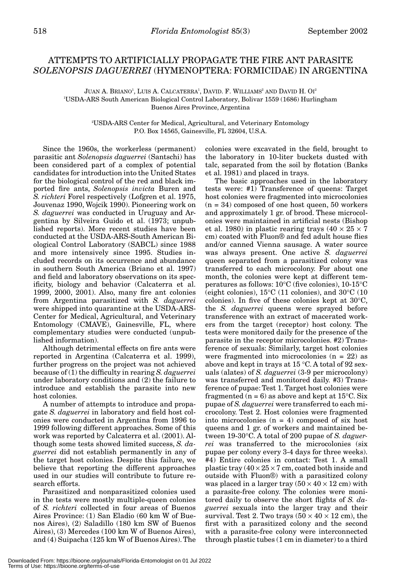## ATTEMPTS TO ARTIFICIALLY PROPAGATE THE FIRE ANT PARASITE *SOLENOPSIS DAGUERREI* (HYMENOPTERA: FORMICIDAE) IN ARGENTINA

JUAN A. BRIANO<sup>1</sup>, LUIS A. CALCATERRA<sup>1</sup>, DAVID. F. WILLIAMS<sup>2</sup> AND DAVID H. OI<sup>2</sup> 1 USDA-ARS South American Biological Control Laboratory, Bolivar 1559 (1686) Hurlingham Buenos Aires Province, Argentina

> 2 USDA-ARS Center for Medical, Agricultural, and Veterinary Entomology P.O. Box 14565, Gainesville, FL 32604, U.S.A.

Since the 1960s, the workerless (permanent) parasitic ant *Solenopsis daguerrei* (Santschi) has been considered part of a complex of potential candidates for introduction into the United States for the biological control of the red and black imported fire ants, *Solenopsis invicta* Buren and *S. richteri* Forel respectively (Lofgren et al. 1975, Jouvenaz 1990, Wojcik 1990). Pioneering work on *S. daguerrei* was conducted in Uruguay and Argentina by Silveira Guido et al. (1973; unpublished reports). More recent studies have been conducted at the USDA-ARS-South American Biological Control Laboratory (SABCL) since 1988 and more intensively since 1995. Studies included records on its occurrence and abundance in southern South America (Briano et al. 1997) and field and laboratory observations on its specificity, biology and behavior (Calcaterra et al. 1999, 2000, 2001). Also, many fire ant colonies from Argentina parasitized with *S. daguerrei* were shipped into quarantine at the USDA-ARS-Center for Medical, Agricultural, and Veterinary Entomology (CMAVE), Gainesville, FL, where complementary studies were conducted (unpublished information).

Although detrimental effects on fire ants were reported in Argentina (Calcaterra et al. 1999), further progress on the project was not achieved because of (1) the difficulty in rearing *S. daguerrei* under laboratory conditions and (2) the failure to introduce and establish the parasite into new host colonies.

A number of attempts to introduce and propagate *S. daguerrei* in laboratory and field host colonies were conducted in Argentina from 1996 to 1999 following different approaches. Some of this work was reported by Calcaterra et al. (2001). Although some tests showed limited success, *S. daguerrei* did not establish permanently in any of the target host colonies. Despite this failure, we believe that reporting the different approaches used in our studies will contribute to future research efforts.

Parasitized and nonparasitized colonies used in the tests were mostly multiple-queen colonies of *S. richteri* collected in four areas of Buenos Aires Province: (1) San Eladio (60 km W of Buenos Aires), (2) Saladillo (180 km SW of Buenos Aires), (3) Mercedes (100 km W of Buenos Aires), and (4) Suipacha (125 km W of Buenos Aires). The

colonies were excavated in the field, brought to the laboratory in 10-liter buckets dusted with talc, separated from the soil by flotation (Banks et al. 1981) and placed in trays.

The basic approaches used in the laboratory tests were: #1) Transference of queens: Target host colonies were fragmented into microcolonies  $(n = 34)$  composed of one host queen, 50 workers and approximately 1 gr. of brood. These microcolonies were maintained in artificial nests (Bishop et al. 1980) in plastic rearing trays  $(40 \times 25 \times 7)$ cm) coated with Fluon® and fed adult house flies and/or canned Vienna sausage. A water source was always present. One active *S. daguerrei* queen separated from a parasitized colony was transferred to each microcolony. For about one month, the colonies were kept at different temperatures as follows: 10°C (five colonies), 10-15°C (eight colonies), 15°C (11 colonies), and 30°C (10 colonies). In five of these colonies kept at 30°C, the *S. daguerrei* queens were sprayed before transference with an extract of macerated workers from the target (receptor) host colony. The tests were monitored daily for the presence of the parasite in the receptor microcolonies. #2) Transference of sexuals: Similarly, target host colonies were fragmented into microcolonies  $(n = 22)$  as above and kept in trays at 15 °C. A total of 92 sexuals (alates) of *S. daguerrei* (3-9 per microcolony) was transferred and monitored daily. #3) Transference of pupae: Test 1. Target host colonies were fragmented ( $n = 6$ ) as above and kept at 15<sup>o</sup>C. Six pupae of *S. daguerrei* were transferred to each microcolony. Test 2. Host colonies were fragmented into microcolonies  $(n = 4)$  composed of six host queens and 1 gr. of workers and maintained between 19-30°C. A total of 200 pupae of *S. daguerrei* was transferred to the microcolonies (six pupae per colony every 3-4 days for three weeks). #4) Entire colonies in contact: Test 1. A small plastic tray  $(40 \times 25 \times 7$  cm, coated both inside and outside with Fluon®) with a parasitized colony was placed in a larger tray  $(50 \times 40 \times 12 \text{ cm})$  with a parasite-free colony. The colonies were monitored daily to observe the short flights of *S. daguerrei* sexuals into the larger tray and their survival. Test 2. Two trays  $(50 \times 40 \times 12 \text{ cm})$ , the first with a parasitized colony and the second with a parasite-free colony were interconnected through plastic tubes (1 cm in diameter) to a third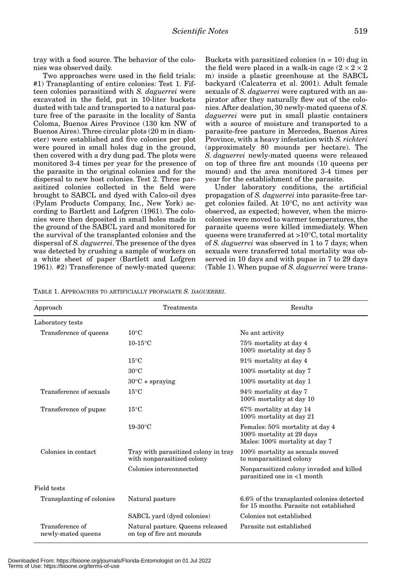tray with a food source. The behavior of the colonies was observed daily.

Two approaches were used in the field trials: #1) Transplanting of entire colonies: Test 1. Fifteen colonies parasitized with *S. daguerrei* were excavated in the field, put in 10-liter buckets dusted with talc and transported to a natural pasture free of the parasite in the locality of Santa Coloma, Buenos Aires Province (130 km NW of Buenos Aires). Three circular plots (20 m in diameter) were established and five colonies per plot were poured in small holes dug in the ground, then covered with a dry dung pad. The plots were monitored 3-4 times per year for the presence of the parasite in the original colonies and for the dispersal to new host colonies. Test 2. Three parasitized colonies collected in the field were brought to SABCL and dyed with Calco-oil dyes (Pylam Products Company, Inc., New York) according to Bartlett and Lofgren (1961). The colonies were then deposited in small holes made in the ground of the SABCL yard and monitored for the survival of the transplanted colonies and the dispersal of *S. daguerrei*. The presence of the dyes was detected by crushing a sample of workers on a white sheet of paper (Bartlett and Lofgren 1961). #2) Transference of newly-mated queens:

Buckets with parasitized colonies  $(n = 10)$  dug in the field were placed in a walk-in cage  $(2 \times 2 \times 2)$ m) inside a plastic greenhouse at the SABCL backyard (Calcaterra et al. 2001). Adult female sexuals of *S. daguerrei* were captured with an aspirator after they naturally flew out of the colonies. After dealation, 30 newly-mated queens of *S. daguerrei* were put in small plastic containers with a source of moisture and transported to a parasite-free pasture in Mercedes, Buenos Aires Province, with a heavy infestation with *S. richteri* (approximately 80 mounds per hectare). The *S. daguerrei* newly-mated queens were released on top of three fire ant mounds (10 queens per mound) and the area monitored 3-4 times per year for the establishment of the parasite.

Under laboratory conditions, the artificial propagation of *S. daguerrei* into parasite-free target colonies failed. At 10°C, no ant activity was observed, as expected; however, when the microcolonies were moved to warmer temperatures, the parasite queens were killed immediately. When queens were transferred at >10°C, total mortality of *S. daguerrei* was observed in 1 to 7 days; when sexuals were transferred total mortality was observed in 10 days and with pupae in 7 to 29 days (Table 1). When pupae of *S. daguerrei* were trans-

TABLE 1. APPROACHES TO ARTIFICIALLY PROPAGATE *S. DAGUERREI*.

| Approach                              | Treatments                                                         | Results                                                                                        |
|---------------------------------------|--------------------------------------------------------------------|------------------------------------------------------------------------------------------------|
| Laboratory tests                      |                                                                    |                                                                                                |
| Transference of queens                | $10^{\circ}$ C                                                     | No ant activity                                                                                |
|                                       | $10-15$ °C                                                         | 75% mortality at day 4<br>100% mortality at day 5                                              |
|                                       | $15^{\circ}$ C                                                     | 91% mortality at day 4                                                                         |
|                                       | $30^{\circ}$ C                                                     | 100% mortality at day 7                                                                        |
|                                       | $30^{\circ}$ C + spraying                                          | 100% mortality at day 1                                                                        |
| Transference of sexuals               | $15^{\circ}$ C                                                     | 94% mortality at day 7<br>100% mortality at day 10                                             |
| Transference of pupae                 | $15^{\circ}$ C                                                     | 67% mortality at day 14<br>100% mortality at day 21                                            |
|                                       | $19-30$ °C                                                         | Females: 50% mortality at day 4<br>100% mortality at 29 days<br>Males: 100% mortality at day 7 |
| Colonies in contact                   | Tray with parasitized colony in tray<br>with nonparasitized colony | 100% mortality as sexuals moved<br>to nonparasitized colony                                    |
|                                       | Colonies interconnected                                            | Nonparasitized colony invaded and killed<br>parasitized one in <1 month                        |
| Field tests                           |                                                                    |                                                                                                |
| Transplanting of colonies             | Natural pasture                                                    | 6.6% of the transplanted colonies detected<br>for 15 months. Parasite not established          |
|                                       | SABCL yard (dyed colonies)                                         | Colonies not established                                                                       |
| Transference of<br>newly-mated queens | Natural pasture. Queens released<br>on top of fire ant mounds      | Parasite not established                                                                       |

Downloaded From: https://bioone.org/journals/Florida-Entomologist on 01 Jul 2022 Terms of Use: https://bioone.org/terms-of-use